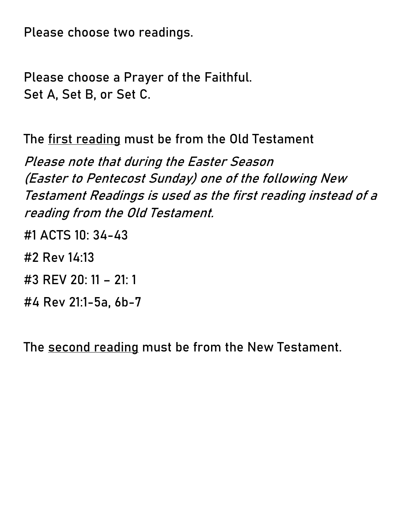**Please choose two readings.**

**Please choose a Prayer of the Faithful. Set A, Set B, or Set C.** 

**The first reading must be from the Old Testament**

**Please note that during the Easter Season (Easter to Pentecost Sunday) one of the following New Testament Readings is used as the first reading instead of a reading from the Old Testament.**

- **#1 ACTS 10: 34-43**
- **#2 Rev 14:13**
- **#3 REV 20: 11 – 21: 1**
- **#4 Rev 21:1-5a, 6b-7**

**The second reading must be from the New Testament.**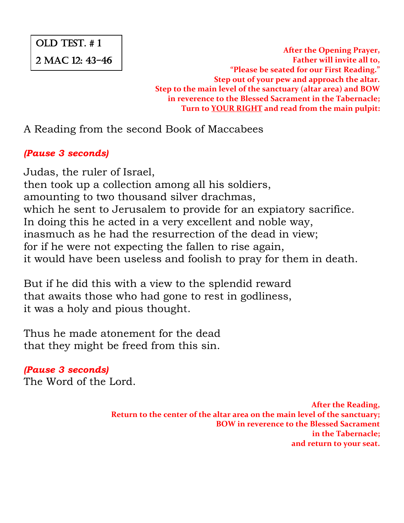# OLD TEST. # 1

2 MAC 12: 43-46

**After the Opening Prayer, Father will invite all to, "Please be seated for our First Reading." Step out of your pew and approach the altar. Step to the main level of the sanctuary (altar area) and BOW in reverence to the Blessed Sacrament in the Tabernacle; Turn to YOUR RIGHT and read from the main pulpit:**

A Reading from the second Book of Maccabees

#### *(Pause 3 seconds)*

Judas, the ruler of Israel, then took up a collection among all his soldiers, amounting to two thousand silver drachmas, which he sent to Jerusalem to provide for an expiatory sacrifice. In doing this he acted in a very excellent and noble way, inasmuch as he had the resurrection of the dead in view; for if he were not expecting the fallen to rise again, it would have been useless and foolish to pray for them in death.

But if he did this with a view to the splendid reward that awaits those who had gone to rest in godliness, it was a holy and pious thought.

Thus he made atonement for the dead that they might be freed from this sin.

*(Pause 3 seconds)* The Word of the Lord.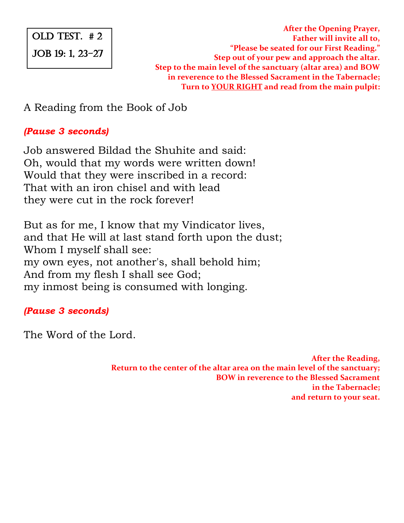# OLD TEST. # 2 JOB 19: 1, 23-27

**After the Opening Prayer, Father will invite all to, "Please be seated for our First Reading." Step out of your pew and approach the altar. Step to the main level of the sanctuary (altar area) and BOW in reverence to the Blessed Sacrament in the Tabernacle; Turn to YOUR RIGHT and read from the main pulpit:**

A Reading from the Book of Job

#### *(Pause 3 seconds)*

Job answered Bildad the Shuhite and said: Oh, would that my words were written down! Would that they were inscribed in a record: That with an iron chisel and with lead they were cut in the rock forever!

But as for me, I know that my Vindicator lives, and that He will at last stand forth upon the dust; Whom I myself shall see: my own eyes, not another's, shall behold him; And from my flesh I shall see God; my inmost being is consumed with longing.

#### *(Pause 3 seconds)*

The Word of the Lord.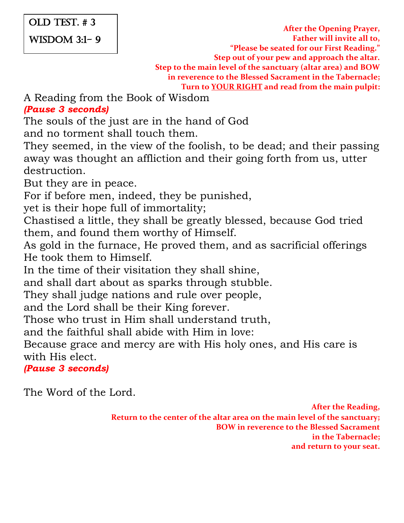#### OLD TEST. # 3

WISDOM 3:1- 9

**After the Opening Prayer, Father will invite all to, "Please be seated for our First Reading." Step out of your pew and approach the altar. Step to the main level of the sanctuary (altar area) and BOW in reverence to the Blessed Sacrament in the Tabernacle; Turn to YOUR RIGHT and read from the main pulpit:**

A Reading from the Book of Wisdom *(Pause 3 seconds)*

The souls of the just are in the hand of God

and no torment shall touch them.

They seemed, in the view of the foolish, to be dead; and their passing away was thought an affliction and their going forth from us, utter destruction.

But they are in peace.

For if before men, indeed, they be punished,

yet is their hope full of immortality;

Chastised a little, they shall be greatly blessed, because God tried them, and found them worthy of Himself.

As gold in the furnace, He proved them, and as sacrificial offerings He took them to Himself.

In the time of their visitation they shall shine,

and shall dart about as sparks through stubble.

They shall judge nations and rule over people,

and the Lord shall be their King forever.

Those who trust in Him shall understand truth,

and the faithful shall abide with Him in love:

Because grace and mercy are with His holy ones, and His care is with His elect.

*(Pause 3 seconds)*

The Word of the Lord.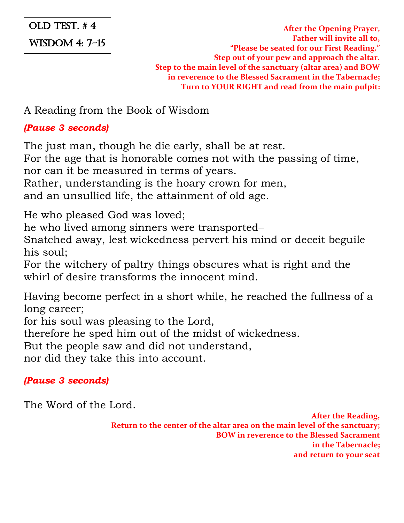# OLD TEST. # 4 WISDOM 4: 7-15

**After the Opening Prayer, Father will invite all to, "Please be seated for our First Reading." Step out of your pew and approach the altar. Step to the main level of the sanctuary (altar area) and BOW in reverence to the Blessed Sacrament in the Tabernacle; Turn to YOUR RIGHT and read from the main pulpit:**

A Reading from the Book of Wisdom

#### *(Pause 3 seconds)*

The just man, though he die early, shall be at rest.

For the age that is honorable comes not with the passing of time,

nor can it be measured in terms of years.

Rather, understanding is the hoary crown for men,

and an unsullied life, the attainment of old age.

He who pleased God was loved;

he who lived among sinners were transported–

Snatched away, lest wickedness pervert his mind or deceit beguile his soul;

For the witchery of paltry things obscures what is right and the whirl of desire transforms the innocent mind

Having become perfect in a short while, he reached the fullness of a long career;

for his soul was pleasing to the Lord,

therefore he sped him out of the midst of wickedness.

But the people saw and did not understand,

nor did they take this into account.

#### *(Pause 3 seconds)*

The Word of the Lord.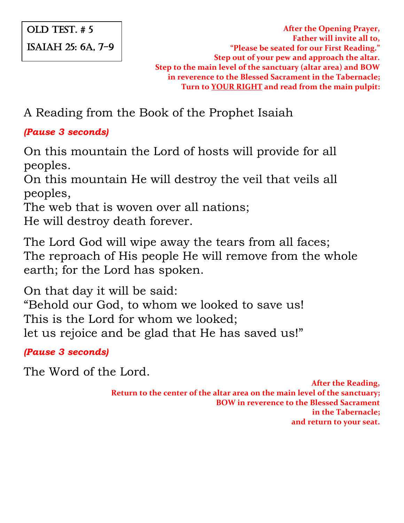#### OLD TEST. # 5 ISAIAH 25: 6a, 7-9

**After the Opening Prayer, Father will invite all to, "Please be seated for our First Reading." Step out of your pew and approach the altar. Step to the main level of the sanctuary (altar area) and BOW in reverence to the Blessed Sacrament in the Tabernacle; Turn to YOUR RIGHT and read from the main pulpit:**

A Reading from the Book of the Prophet Isaiah

#### *(Pause 3 seconds)*

On this mountain the Lord of hosts will provide for all peoples.

On this mountain He will destroy the veil that veils all peoples,

The web that is woven over all nations;

He will destroy death forever.

The Lord God will wipe away the tears from all faces; The reproach of His people He will remove from the whole earth; for the Lord has spoken.

On that day it will be said: "Behold our God, to whom we looked to save us! This is the Lord for whom we looked; let us rejoice and be glad that He has saved us!"

*(Pause 3 seconds)*

The Word of the Lord.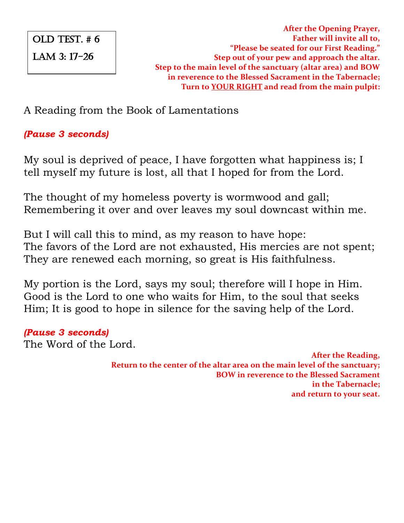# OLD TEST. # 6 LAM 3: 17-26

**After the Opening Prayer, Father will invite all to, "Please be seated for our First Reading." Step out of your pew and approach the altar. Step to the main level of the sanctuary (altar area) and BOW in reverence to the Blessed Sacrament in the Tabernacle; Turn to YOUR RIGHT and read from the main pulpit:**

A Reading from the Book of Lamentations

#### *(Pause 3 seconds)*

My soul is deprived of peace, I have forgotten what happiness is; I tell myself my future is lost, all that I hoped for from the Lord.

The thought of my homeless poverty is wormwood and gall; Remembering it over and over leaves my soul downcast within me.

But I will call this to mind, as my reason to have hope: The favors of the Lord are not exhausted, His mercies are not spent; They are renewed each morning, so great is His faithfulness.

My portion is the Lord, says my soul; therefore will I hope in Him. Good is the Lord to one who waits for Him, to the soul that seeks Him; It is good to hope in silence for the saving help of the Lord.

#### *(Pause 3 seconds)*

The Word of the Lord.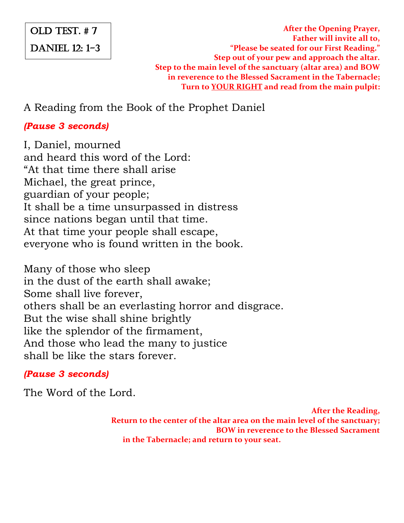# OLD TEST. # 7

DANIEL 12: 1-3

**After the Opening Prayer, Father will invite all to, "Please be seated for our First Reading." Step out of your pew and approach the altar. Step to the main level of the sanctuary (altar area) and BOW in reverence to the Blessed Sacrament in the Tabernacle; Turn to YOUR RIGHT and read from the main pulpit:**

A Reading from the Book of the Prophet Daniel

#### *(Pause 3 seconds)*

I, Daniel, mourned and heard this word of the Lord: "At that time there shall arise Michael, the great prince, guardian of your people; It shall be a time unsurpassed in distress since nations began until that time. At that time your people shall escape, everyone who is found written in the book.

Many of those who sleep in the dust of the earth shall awake; Some shall live forever, others shall be an everlasting horror and disgrace. But the wise shall shine brightly like the splendor of the firmament, And those who lead the many to justice shall be like the stars forever.

## *(Pause 3 seconds)*

The Word of the Lord.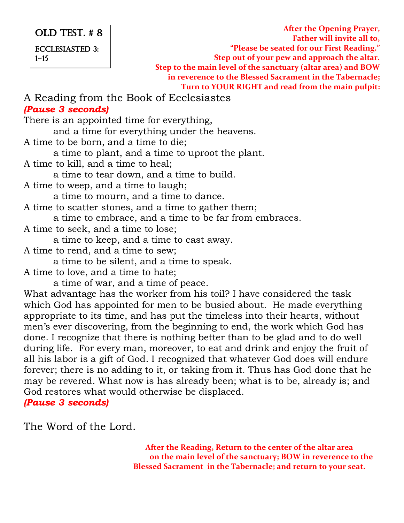#### OLD TEST. # 8 ECCLESIASTED 3:  $1 - 15$

**After the Opening Prayer, Father will invite all to, "Please be seated for our First Reading." Step out of your pew and approach the altar. Step to the main level of the sanctuary (altar area) and BOW in reverence to the Blessed Sacrament in the Tabernacle; Turn to YOUR RIGHT and read from the main pulpit:**

#### A Reading from the Book of Ecclesiastes *(Pause 3 seconds)*

There is an appointed time for everything, and a time for everything under the heavens. A time to be born, and a time to die; a time to plant, and a time to uproot the plant. A time to kill, and a time to heal; a time to tear down, and a time to build. A time to weep, and a time to laugh; a time to mourn, and a time to dance. A time to scatter stones, and a time to gather them; a time to embrace, and a time to be far from embraces. A time to seek, and a time to lose; a time to keep, and a time to cast away. A time to rend, and a time to sew; a time to be silent, and a time to speak. A time to love, and a time to hate; a time of war, and a time of peace. What advantage has the worker from his toil? I have considered the task which God has appointed for men to be busied about. He made everything appropriate to its time, and has put the timeless into their hearts, without men's ever discovering, from the beginning to end, the work which God has done. I recognize that there is nothing better than to be glad and to do well during life. For every man, moreover, to eat and drink and enjoy the fruit of all his labor is a gift of God. I recognized that whatever God does will endure forever; there is no adding to it, or taking from it. Thus has God done that he may be revered. What now is has already been; what is to be, already is; and

God restores what would otherwise be displaced.

*(Pause 3 seconds)*

The Word of the Lord.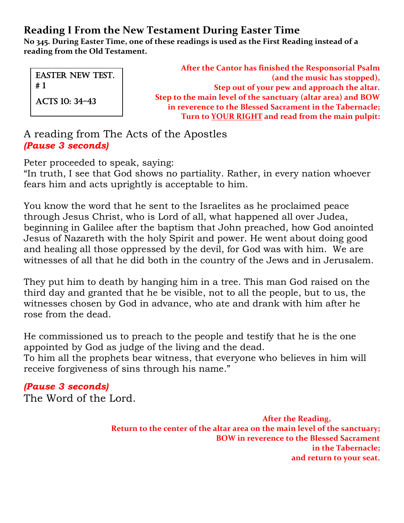**No 345. During Easter Time, one of these readings is used as the First Reading instead of a reading from the Old Testament.**

**After the Cantor has finished the Responsorial Psalm (and the music has stopped), Step out of your pew and approach the altar. Step to the main level of the sanctuary (altar area) and BOW in reverence to the Blessed Sacrament in the Tabernacle; Turn to YOUR RIGHT and read from the main pulpit:** EASTER NEW TEST. # 1 ACTS 10: 34-43

A reading from The Acts of the Apostles *(Pause 3 seconds)*

Peter proceeded to speak, saying:

"In truth, I see that God shows no partiality. Rather, in every nation whoever fears him and acts uprightly is acceptable to him.

You know the word that he sent to the Israelites as he proclaimed peace through Jesus Christ, who is Lord of all, what happened all over Judea, beginning in Galilee after the baptism that John preached, how God anointed Jesus of Nazareth with the holy Spirit and power. He went about doing good and healing all those oppressed by the devil, for God was with him. We are witnesses of all that he did both in the country of the Jews and in Jerusalem.

They put him to death by hanging him in a tree. This man God raised on the third day and granted that he be visible, not to all the people, but to us, the witnesses chosen by God in advance, who ate and drank with him after he rose from the dead.

He commissioned us to preach to the people and testify that he is the one appointed by God as judge of the living and the dead. To him all the prophets bear witness, that everyone who believes in him will

receive forgiveness of sins through his name."

*(Pause 3 seconds)* The Word of the Lord.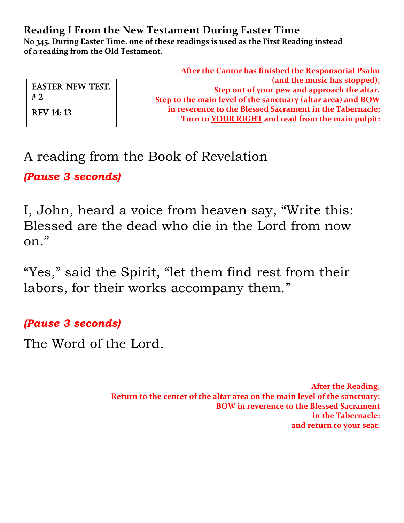**No 345. During Easter Time, one of these readings is used as the First Reading instead of a reading from the Old Testament.**

|                               | After the Cantor has finished the Responsorial Psalm         |
|-------------------------------|--------------------------------------------------------------|
| <b>EASTER NEW TEST.</b><br>#2 | (and the music has stopped),                                 |
|                               | Step out of your pew and approach the altar.                 |
|                               | Step to the main level of the sanctuary (altar area) and BOW |
| <b>REV 14: 13</b>             | in reverence to the Blessed Sacrament in the Tabernacle;     |
|                               | Turn to YOUR RIGHT and read from the main pulpit:            |
|                               |                                                              |

# A reading from the Book of Revelation

*(Pause 3 seconds)*

I, John, heard a voice from heaven say, "Write this: Blessed are the dead who die in the Lord from now on."

"Yes," said the Spirit, "let them find rest from their labors, for their works accompany them."

*(Pause 3 seconds)*

The Word of the Lord.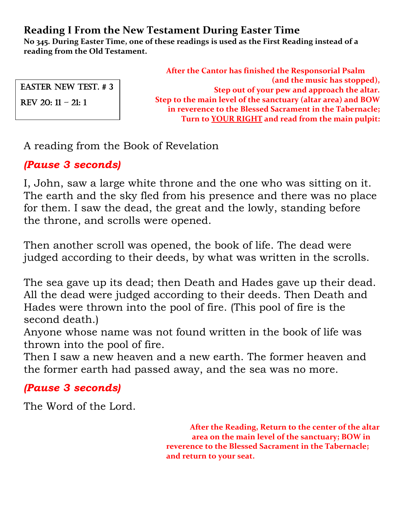**No 345. During Easter Time, one of these readings is used as the First Reading instead of a reading from the Old Testament.**

Easter NEW TEST. # 3

REV 20:  $11 - 21:1$ 

**After the Cantor has finished the Responsorial Psalm (and the music has stopped), Step out of your pew and approach the altar. Step to the main level of the sanctuary (altar area) and BOW in reverence to the Blessed Sacrament in the Tabernacle; Turn to YOUR RIGHT and read from the main pulpit:**

A reading from the Book of Revelation

# *(Pause 3 seconds)*

I, John, saw a large white throne and the one who was sitting on it. The earth and the sky fled from his presence and there was no place for them. I saw the dead, the great and the lowly, standing before the throne, and scrolls were opened.

Then another scroll was opened, the book of life. The dead were judged according to their deeds, by what was written in the scrolls.

The sea gave up its dead; then Death and Hades gave up their dead. All the dead were judged according to their deeds. Then Death and Hades were thrown into the pool of fire. (This pool of fire is the second death.)

Anyone whose name was not found written in the book of life was thrown into the pool of fire.

Then I saw a new heaven and a new earth. The former heaven and the former earth had passed away, and the sea was no more.

# *(Pause 3 seconds)*

The Word of the Lord.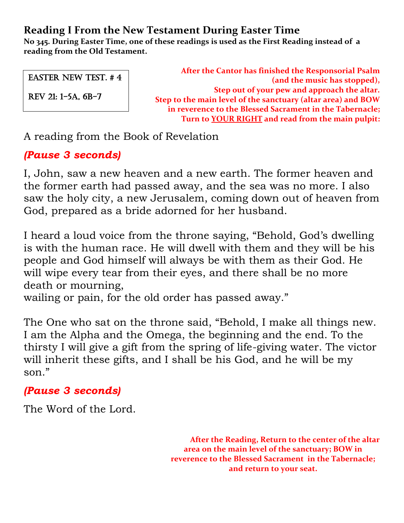**No 345. During Easter Time, one of these readings is used as the First Reading instead of a reading from the Old Testament.**

EASTER NEW TEST. # 4

REV 21: 1-5a, 6b-7

**After the Cantor has finished the Responsorial Psalm (and the music has stopped), Step out of your pew and approach the altar. Step to the main level of the sanctuary (altar area) and BOW in reverence to the Blessed Sacrament in the Tabernacle; Turn to YOUR RIGHT and read from the main pulpit:**

A reading from the Book of Revelation

# *(Pause 3 seconds)*

I, John, saw a new heaven and a new earth. The former heaven and the former earth had passed away, and the sea was no more. I also saw the holy city, a new Jerusalem, coming down out of heaven from God, prepared as a bride adorned for her husband.

I heard a loud voice from the throne saying, "Behold, God's dwelling is with the human race. He will dwell with them and they will be his people and God himself will always be with them as their God. He will wipe every tear from their eyes, and there shall be no more death or mourning,

wailing or pain, for the old order has passed away."

The One who sat on the throne said, "Behold, I make all things new. I am the Alpha and the Omega, the beginning and the end. To the thirsty I will give a gift from the spring of life-giving water. The victor will inherit these gifts, and I shall be his God, and he will be my son."

## *(Pause 3 seconds)*

The Word of the Lord.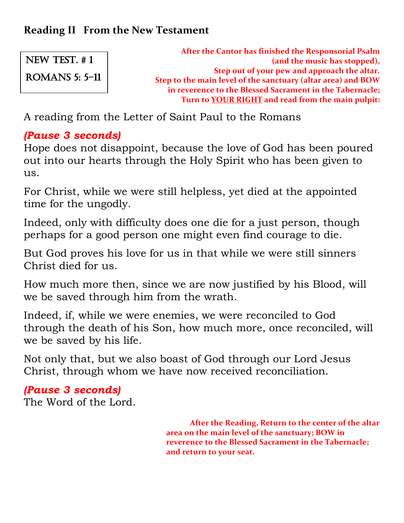**After the Cantor has finished the Responsorial Psalm (and the music has stopped), Step out of your pew and approach the altar. Step to the main level of the sanctuary (altar area) and BOW in reverence to the Blessed Sacrament in the Tabernacle; Turn to YOUR RIGHT and read from the main pulpit:** NEW TEST. # 1 ROMANS 5: 5-11

A reading from the Letter of Saint Paul to the Romans

#### *(Pause 3 seconds)*

Hope does not disappoint, because the love of God has been poured out into our hearts through the Holy Spirit who has been given to us.

For Christ, while we were still helpless, yet died at the appointed time for the ungodly.

Indeed, only with difficulty does one die for a just person, though perhaps for a good person one might even find courage to die.

But God proves his love for us in that while we were still sinners Christ died for us.

How much more then, since we are now justified by his Blood, will we be saved through him from the wrath.

Indeed, if, while we were enemies, we were reconciled to God through the death of his Son, how much more, once reconciled, will we be saved by his life.

Not only that, but we also boast of God through our Lord Jesus Christ, through whom we have now received reconciliation.

*(Pause 3 seconds)* The Word of the Lord.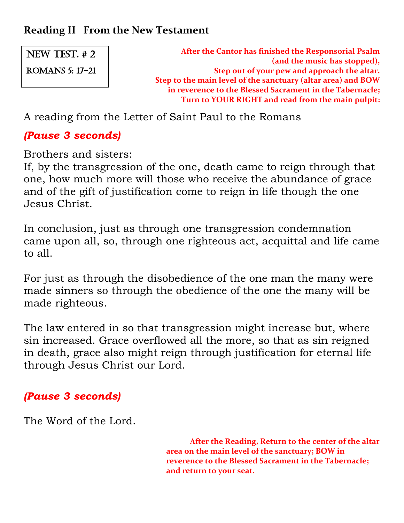NEW TEST. # 2 ROMANS 5: 17-21

**After the Cantor has finished the Responsorial Psalm (and the music has stopped), Step out of your pew and approach the altar. Step to the main level of the sanctuary (altar area) and BOW in reverence to the Blessed Sacrament in the Tabernacle; Turn to YOUR RIGHT and read from the main pulpit:**

A reading from the Letter of Saint Paul to the Romans

## *(Pause 3 seconds)*

Brothers and sisters:

If, by the transgression of the one, death came to reign through that one, how much more will those who receive the abundance of grace and of the gift of justification come to reign in life though the one Jesus Christ.

In conclusion, just as through one transgression condemnation came upon all, so, through one righteous act, acquittal and life came to all.

For just as through the disobedience of the one man the many were made sinners so through the obedience of the one the many will be made righteous.

The law entered in so that transgression might increase but, where sin increased. Grace overflowed all the more, so that as sin reigned in death, grace also might reign through justification for eternal life through Jesus Christ our Lord.

## *(Pause 3 seconds)*

The Word of the Lord.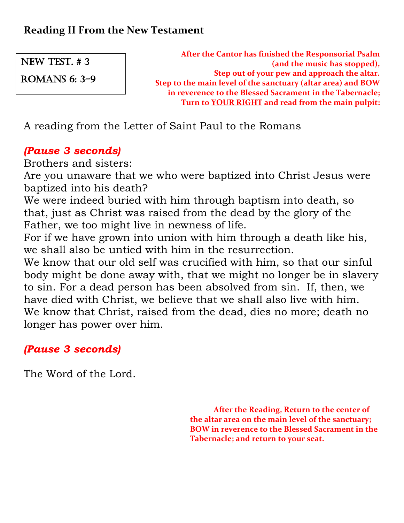ROMANS 6: 3-9

**After the Cantor has finished the Responsorial Psalm (and the music has stopped), Step out of your pew and approach the altar. Step to the main level of the sanctuary (altar area) and BOW in reverence to the Blessed Sacrament in the Tabernacle; Turn to YOUR RIGHT and read from the main pulpit:**

A reading from the Letter of Saint Paul to the Romans

# *(Pause 3 seconds)*

Brothers and sisters:

Are you unaware that we who were baptized into Christ Jesus were baptized into his death?

We were indeed buried with him through baptism into death, so that, just as Christ was raised from the dead by the glory of the Father, we too might live in newness of life.

For if we have grown into union with him through a death like his, we shall also be untied with him in the resurrection.

We know that our old self was crucified with him, so that our sinful body might be done away with, that we might no longer be in slavery to sin. For a dead person has been absolved from sin. If, then, we have died with Christ, we believe that we shall also live with him. We know that Christ, raised from the dead, dies no more; death no longer has power over him.

# *(Pause 3 seconds)*

The Word of the Lord.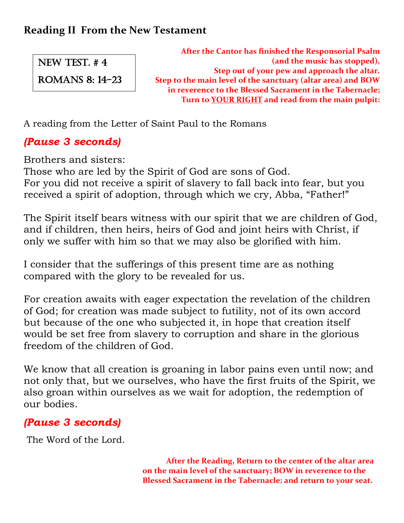ROMANS 8: 14-23

**After the Cantor has finished the Responsorial Psalm (and the music has stopped), Step out of your pew and approach the altar. Step to the main level of the sanctuary (altar area) and BOW in reverence to the Blessed Sacrament in the Tabernacle; Turn to YOUR RIGHT and read from the main pulpit:**

A reading from the Letter of Saint Paul to the Romans

# *(Pause 3 seconds)*

Brothers and sisters:

Those who are led by the Spirit of God are sons of God. For you did not receive a spirit of slavery to fall back into fear, but you received a spirit of adoption, through which we cry, Abba, "Father!"

The Spirit itself bears witness with our spirit that we are children of God, and if children, then heirs, heirs of God and joint heirs with Christ, if only we suffer with him so that we may also be glorified with him.

I consider that the sufferings of this present time are as nothing compared with the glory to be revealed for us.

For creation awaits with eager expectation the revelation of the children of God; for creation was made subject to futility, not of its own accord but because of the one who subjected it, in hope that creation itself would be set free from slavery to corruption and share in the glorious freedom of the children of God.

We know that all creation is groaning in labor pains even until now; and not only that, but we ourselves, who have the first fruits of the Spirit, we also groan within ourselves as we wait for adoption, the redemption of our bodies.

# *(Pause 3 seconds)*

The Word of the Lord.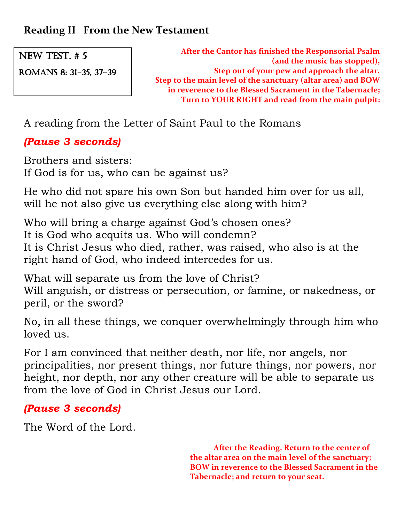ROMANS 8: 31-35, 37-39

**After the Cantor has finished the Responsorial Psalm (and the music has stopped), Step out of your pew and approach the altar. Step to the main level of the sanctuary (altar area) and BOW in reverence to the Blessed Sacrament in the Tabernacle; Turn to YOUR RIGHT and read from the main pulpit:**

A reading from the Letter of Saint Paul to the Romans

# *(Pause 3 seconds)*

Brothers and sisters: If God is for us, who can be against us?

He who did not spare his own Son but handed him over for us all, will he not also give us everything else along with him?

Who will bring a charge against God's chosen ones? It is God who acquits us. Who will condemn? It is Christ Jesus who died, rather, was raised, who also is at the right hand of God, who indeed intercedes for us.

What will separate us from the love of Christ? Will anguish, or distress or persecution, or famine, or nakedness, or peril, or the sword?

No, in all these things, we conquer overwhelmingly through him who loved us.

For I am convinced that neither death, nor life, nor angels, nor principalities, nor present things, nor future things, nor powers, nor height, nor depth, nor any other creature will be able to separate us from the love of God in Christ Jesus our Lord.

# *(Pause 3 seconds)*

The Word of the Lord.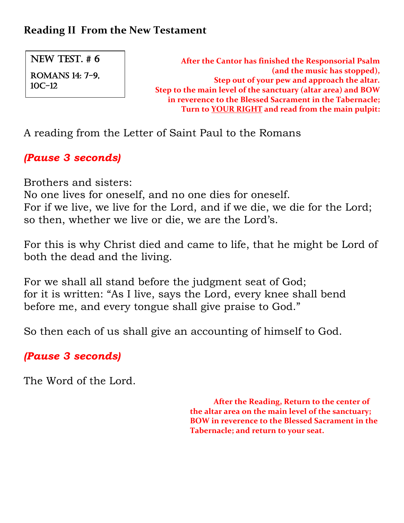NEW TEST. # 6 ROMANS 14: 7-9, 10c-12

**After the Cantor has finished the Responsorial Psalm (and the music has stopped), Step out of your pew and approach the altar. Step to the main level of the sanctuary (altar area) and BOW in reverence to the Blessed Sacrament in the Tabernacle; Turn to YOUR RIGHT and read from the main pulpit:**

A reading from the Letter of Saint Paul to the Romans

## *(Pause 3 seconds)*

Brothers and sisters:

No one lives for oneself, and no one dies for oneself. For if we live, we live for the Lord, and if we die, we die for the Lord; so then, whether we live or die, we are the Lord's.

For this is why Christ died and came to life, that he might be Lord of both the dead and the living.

For we shall all stand before the judgment seat of God; for it is written: "As I live, says the Lord, every knee shall bend before me, and every tongue shall give praise to God."

So then each of us shall give an accounting of himself to God.

# *(Pause 3 seconds)*

The Word of the Lord.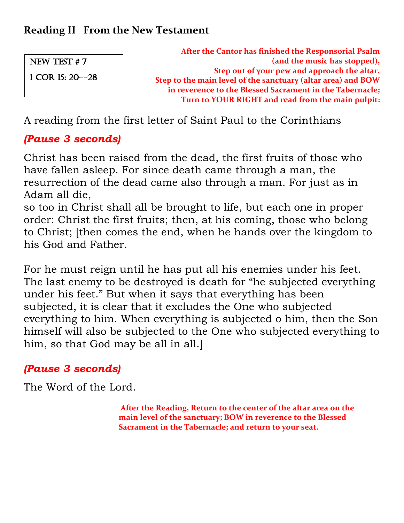**After the Cantor has finished the Responsorial Psalm (and the music has stopped), Step out of your pew and approach the altar. Step to the main level of the sanctuary (altar area) and BOW in reverence to the Blessed Sacrament in the Tabernacle; Turn to YOUR RIGHT and read from the main pulpit:** New Test # 7 1 COR 15: 20--28

A reading from the first letter of Saint Paul to the Corinthians

# *(Pause 3 seconds)*

Christ has been raised from the dead, the first fruits of those who have fallen asleep. For since death came through a man, the resurrection of the dead came also through a man. For just as in Adam all die,

so too in Christ shall all be brought to life, but each one in proper order: Christ the first fruits; then, at his coming, those who belong to Christ; [then comes the end, when he hands over the kingdom to his God and Father.

For he must reign until he has put all his enemies under his feet. The last enemy to be destroyed is death for "he subjected everything under his feet." But when it says that everything has been subjected, it is clear that it excludes the One who subjected everything to him. When everything is subjected o him, then the Son himself will also be subjected to the One who subjected everything to him, so that God may be all in all.]

# *(Pause 3 seconds)*

The Word of the Lord.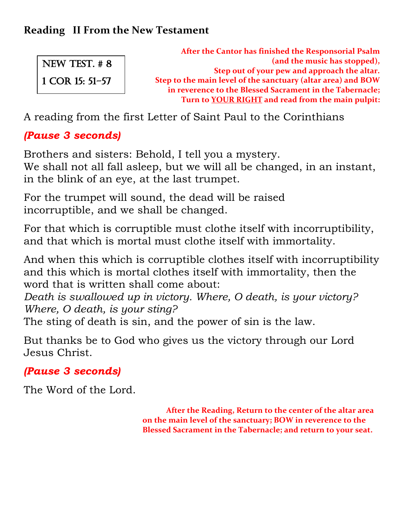**After the Cantor has finished the Responsorial Psalm (and the music has stopped), Step out of your pew and approach the altar. Step to the main level of the sanctuary (altar area) and BOW in reverence to the Blessed Sacrament in the Tabernacle; Turn to YOUR RIGHT and read from the main pulpit:** NEW TEST. # 8 1 COR 15: 51-57

A reading from the first Letter of Saint Paul to the Corinthians

# *(Pause 3 seconds)*

Brothers and sisters: Behold, I tell you a mystery. We shall not all fall asleep, but we will all be changed, in an instant,

in the blink of an eye, at the last trumpet. For the trumpet will sound, the dead will be raised

incorruptible, and we shall be changed.

For that which is corruptible must clothe itself with incorruptibility, and that which is mortal must clothe itself with immortality.

And when this which is corruptible clothes itself with incorruptibility and this which is mortal clothes itself with immortality, then the word that is written shall come about:

*Death is swallowed up in victory. Where, O death, is your victory? Where, O death, is your sting?*

The sting of death is sin, and the power of sin is the law.

But thanks be to God who gives us the victory through our Lord Jesus Christ.

# *(Pause 3 seconds)*

The Word of the Lord.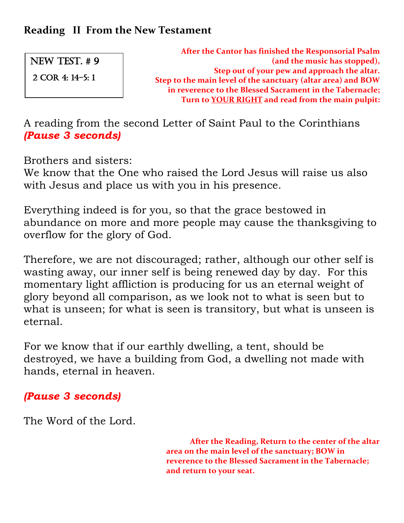NEW TEST. # 9

2 Cor 4: 14-5: 1

**After the Cantor has finished the Responsorial Psalm (and the music has stopped), Step out of your pew and approach the altar. Step to the main level of the sanctuary (altar area) and BOW in reverence to the Blessed Sacrament in the Tabernacle; Turn to YOUR RIGHT and read from the main pulpit:**

A reading from the second Letter of Saint Paul to the Corinthians *(Pause 3 seconds)*

Brothers and sisters:

We know that the One who raised the Lord Jesus will raise us also with Jesus and place us with you in his presence.

Everything indeed is for you, so that the grace bestowed in abundance on more and more people may cause the thanksgiving to overflow for the glory of God.

Therefore, we are not discouraged; rather, although our other self is wasting away, our inner self is being renewed day by day. For this momentary light affliction is producing for us an eternal weight of glory beyond all comparison, as we look not to what is seen but to what is unseen; for what is seen is transitory, but what is unseen is eternal.

For we know that if our earthly dwelling, a tent, should be destroyed, we have a building from God, a dwelling not made with hands, eternal in heaven.

# *(Pause 3 seconds)*

The Word of the Lord.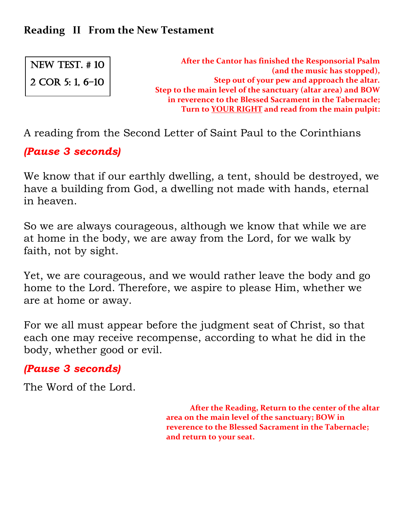NEW TEST. # 10 2 COR 5: 1, 6-10

**After the Cantor has finished the Responsorial Psalm (and the music has stopped), Step out of your pew and approach the altar. Step to the main level of the sanctuary (altar area) and BOW in reverence to the Blessed Sacrament in the Tabernacle; Turn to YOUR RIGHT and read from the main pulpit:**

A reading from the Second Letter of Saint Paul to the Corinthians

*(Pause 3 seconds)*

We know that if our earthly dwelling, a tent, should be destroyed, we have a building from God, a dwelling not made with hands, eternal in heaven.

So we are always courageous, although we know that while we are at home in the body, we are away from the Lord, for we walk by faith, not by sight.

Yet, we are courageous, and we would rather leave the body and go home to the Lord. Therefore, we aspire to please Him, whether we are at home or away.

For we all must appear before the judgment seat of Christ, so that each one may receive recompense, according to what he did in the body, whether good or evil.

## *(Pause 3 seconds)*

The Word of the Lord.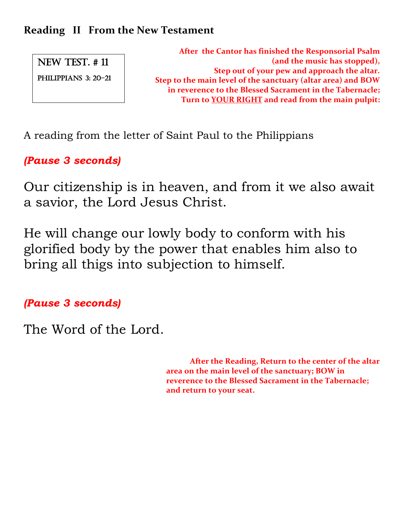PHILIPPIANS 3: 20-21

**After the Cantor has finished the Responsorial Psalm (and the music has stopped), Step out of your pew and approach the altar. Step to the main level of the sanctuary (altar area) and BOW in reverence to the Blessed Sacrament in the Tabernacle; Turn to YOUR RIGHT and read from the main pulpit:**

A reading from the letter of Saint Paul to the Philippians

*(Pause 3 seconds)*

Our citizenship is in heaven, and from it we also await a savior, the Lord Jesus Christ.

He will change our lowly body to conform with his glorified body by the power that enables him also to bring all thigs into subjection to himself.

*(Pause 3 seconds)*

The Word of the Lord.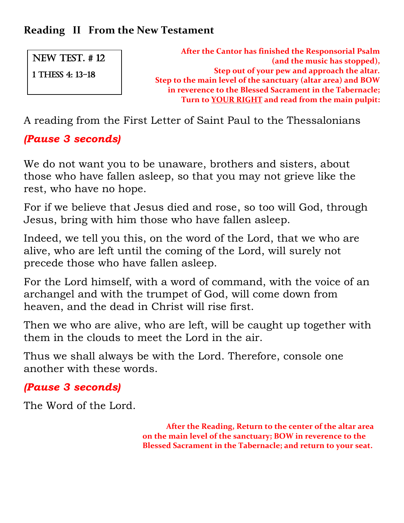NEW TEST. # 12

1 THESS 4: 13-18

**After the Cantor has finished the Responsorial Psalm (and the music has stopped), Step out of your pew and approach the altar. Step to the main level of the sanctuary (altar area) and BOW in reverence to the Blessed Sacrament in the Tabernacle; Turn to YOUR RIGHT and read from the main pulpit:**

A reading from the First Letter of Saint Paul to the Thessalonians

# *(Pause 3 seconds)*

We do not want you to be unaware, brothers and sisters, about those who have fallen asleep, so that you may not grieve like the rest, who have no hope.

For if we believe that Jesus died and rose, so too will God, through Jesus, bring with him those who have fallen asleep.

Indeed, we tell you this, on the word of the Lord, that we who are alive, who are left until the coming of the Lord, will surely not precede those who have fallen asleep.

For the Lord himself, with a word of command, with the voice of an archangel and with the trumpet of God, will come down from heaven, and the dead in Christ will rise first.

Then we who are alive, who are left, will be caught up together with them in the clouds to meet the Lord in the air.

Thus we shall always be with the Lord. Therefore, console one another with these words.

# *(Pause 3 seconds)*

The Word of the Lord.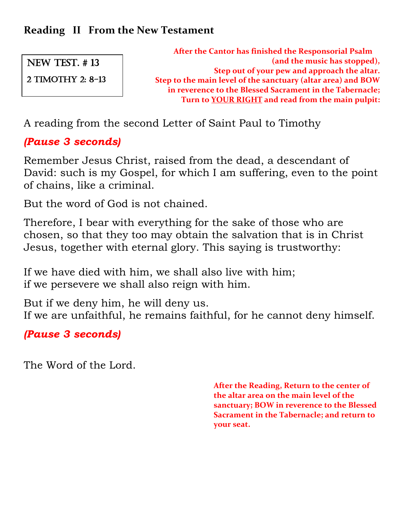NEW TEST. # 13

2 TIMothy 2: 8-13

**After the Cantor has finished the Responsorial Psalm (and the music has stopped), Step out of your pew and approach the altar. Step to the main level of the sanctuary (altar area) and BOW in reverence to the Blessed Sacrament in the Tabernacle; Turn to YOUR RIGHT and read from the main pulpit:**

A reading from the second Letter of Saint Paul to Timothy

# *(Pause 3 seconds)*

Remember Jesus Christ, raised from the dead, a descendant of David: such is my Gospel, for which I am suffering, even to the point of chains, like a criminal.

But the word of God is not chained.

Therefore, I bear with everything for the sake of those who are chosen, so that they too may obtain the salvation that is in Christ Jesus, together with eternal glory. This saying is trustworthy:

If we have died with him, we shall also live with him; if we persevere we shall also reign with him.

But if we deny him, he will deny us. If we are unfaithful, he remains faithful, for he cannot deny himself.

*(Pause 3 seconds)*

The Word of the Lord.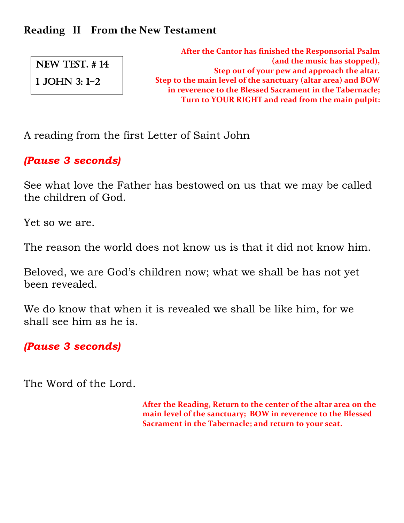NEW TEST. # 14

1 JOHN 3: 1-2

**After the Cantor has finished the Responsorial Psalm (and the music has stopped), Step out of your pew and approach the altar. Step to the main level of the sanctuary (altar area) and BOW in reverence to the Blessed Sacrament in the Tabernacle; Turn to YOUR RIGHT and read from the main pulpit:**

A reading from the first Letter of Saint John

*(Pause 3 seconds)*

See what love the Father has bestowed on us that we may be called the children of God.

Yet so we are.

The reason the world does not know us is that it did not know him.

Beloved, we are God's children now; what we shall be has not yet been revealed.

We do know that when it is revealed we shall be like him, for we shall see him as he is.

*(Pause 3 seconds)*

The Word of the Lord.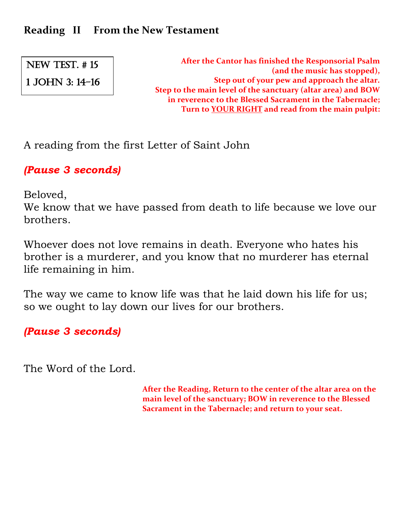NEW TEST. # 15 1 JOHN 3: 14-16

**After the Cantor has finished the Responsorial Psalm (and the music has stopped), Step out of your pew and approach the altar. Step to the main level of the sanctuary (altar area) and BOW in reverence to the Blessed Sacrament in the Tabernacle; Turn to YOUR RIGHT and read from the main pulpit:**

A reading from the first Letter of Saint John

*(Pause 3 seconds)*

Beloved,

We know that we have passed from death to life because we love our brothers.

Whoever does not love remains in death. Everyone who hates his brother is a murderer, and you know that no murderer has eternal life remaining in him.

The way we came to know life was that he laid down his life for us; so we ought to lay down our lives for our brothers.

*(Pause 3 seconds)*

The Word of the Lord.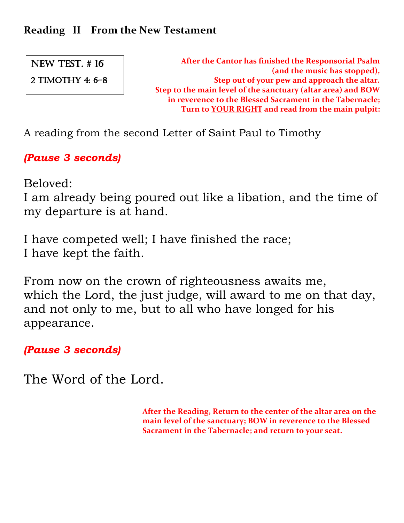2 Timothy 4: 6-8

**After the Cantor has finished the Responsorial Psalm (and the music has stopped), Step out of your pew and approach the altar. Step to the main level of the sanctuary (altar area) and BOW in reverence to the Blessed Sacrament in the Tabernacle; Turn to YOUR RIGHT and read from the main pulpit:**

A reading from the second Letter of Saint Paul to Timothy

*(Pause 3 seconds)*

Beloved:

I am already being poured out like a libation, and the time of my departure is at hand.

I have competed well; I have finished the race; I have kept the faith.

From now on the crown of righteousness awaits me, which the Lord, the just judge, will award to me on that day, and not only to me, but to all who have longed for his appearance.

*(Pause 3 seconds)*

The Word of the Lord.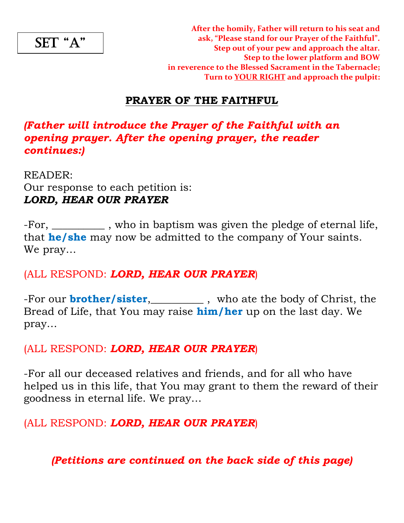SET "A"

#### **PRAYER OF THE FAITHFUL**

#### *(Father will introduce the Prayer of the Faithful with an opening prayer. After the opening prayer, the reader continues:)*

READER: Our response to each petition is: *LORD, HEAR OUR PRAYER*

-For, \_\_\_\_\_\_\_\_\_\_ , who in baptism was given the pledge of eternal life, that **he/she** may now be admitted to the company of Your saints. We pray…

(ALL RESPOND: *LORD, HEAR OUR PRAYER*)

-For our **brother/sister,\_\_\_\_\_\_\_\_\_**, who ate the body of Christ, the Bread of Life, that You may raise **him/her** up on the last day. We pray…

(ALL RESPOND: *LORD, HEAR OUR PRAYER*)

-For all our deceased relatives and friends, and for all who have helped us in this life, that You may grant to them the reward of their goodness in eternal life. We pray…

(ALL RESPOND: *LORD, HEAR OUR PRAYER*)

*(Petitions are continued on the back side of this page)*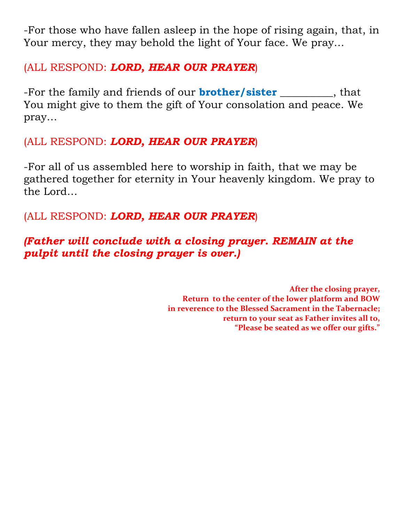-For those who have fallen asleep in the hope of rising again, that, in Your mercy, they may behold the light of Your face. We pray…

#### (ALL RESPOND: *LORD, HEAR OUR PRAYER*)

-For the family and friends of our **brother/sister** \_\_\_\_\_\_\_\_\_\_, that You might give to them the gift of Your consolation and peace. We pray…

## (ALL RESPOND: *LORD, HEAR OUR PRAYER*)

-For all of us assembled here to worship in faith, that we may be gathered together for eternity in Your heavenly kingdom. We pray to the Lord…

## (ALL RESPOND: *LORD, HEAR OUR PRAYER*)

# *(Father will conclude with a closing prayer. REMAIN at the pulpit until the closing prayer is over.)*

**After the closing prayer, Return to the center of the lower platform and BOW in reverence to the Blessed Sacrament in the Tabernacle; return to your seat as Father invites all to, "Please be seated as we offer our gifts."**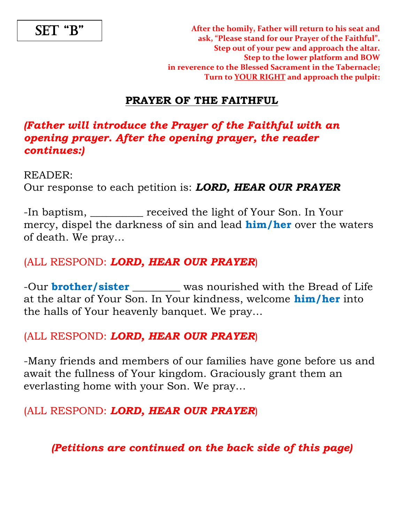SET "B"

**After the homily, Father will return to his seat and ask, "Please stand for our Prayer of the Faithful". Step out of your pew and approach the altar. Step to the lower platform and BOW in reverence to the Blessed Sacrament in the Tabernacle; Turn to YOUR RIGHT and approach the pulpit:**

#### **PRAYER OF THE FAITHFUL**

#### *(Father will introduce the Prayer of the Faithful with an opening prayer. After the opening prayer, the reader continues:)*

READER:

Our response to each petition is: *LORD, HEAR OUR PRAYER*

-In baptism, \_\_\_\_\_\_\_\_\_\_ received the light of Your Son. In Your mercy, dispel the darkness of sin and lead **him/her** over the waters of death. We pray…

#### (ALL RESPOND: *LORD, HEAR OUR PRAYER*)

-Our **brother/sister** was nourished with the Bread of Life at the altar of Your Son. In Your kindness, welcome **him/her** into the halls of Your heavenly banquet. We pray…

#### (ALL RESPOND: *LORD, HEAR OUR PRAYER*)

-Many friends and members of our families have gone before us and await the fullness of Your kingdom. Graciously grant them an everlasting home with your Son. We pray…

(ALL RESPOND: *LORD, HEAR OUR PRAYER*)

*(Petitions are continued on the back side of this page)*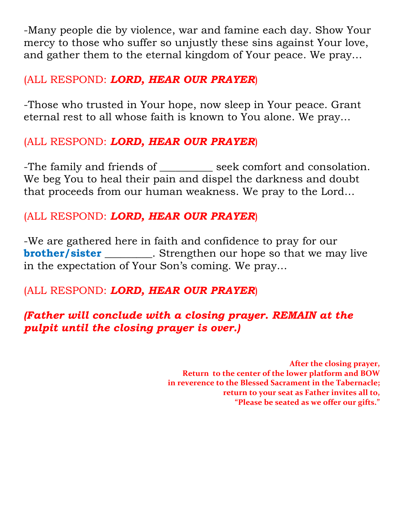-Many people die by violence, war and famine each day. Show Your mercy to those who suffer so unjustly these sins against Your love, and gather them to the eternal kingdom of Your peace. We pray…

#### (ALL RESPOND: *LORD, HEAR OUR PRAYER*)

-Those who trusted in Your hope, now sleep in Your peace. Grant eternal rest to all whose faith is known to You alone. We pray…

## (ALL RESPOND: *LORD, HEAR OUR PRAYER*)

-The family and friends of \_\_\_\_\_\_\_\_\_\_ seek comfort and consolation. We beg You to heal their pain and dispel the darkness and doubt that proceeds from our human weakness. We pray to the Lord…

## (ALL RESPOND: *LORD, HEAR OUR PRAYER*)

-We are gathered here in faith and confidence to pray for our **brother/sister** \_\_\_\_\_\_\_\_. Strengthen our hope so that we may live in the expectation of Your Son's coming. We pray…

# (ALL RESPOND: *LORD, HEAR OUR PRAYER*)

## *(Father will conclude with a closing prayer. REMAIN at the pulpit until the closing prayer is over.)*

**After the closing prayer, Return to the center of the lower platform and BOW in reverence to the Blessed Sacrament in the Tabernacle; return to your seat as Father invites all to, "Please be seated as we offer our gifts."**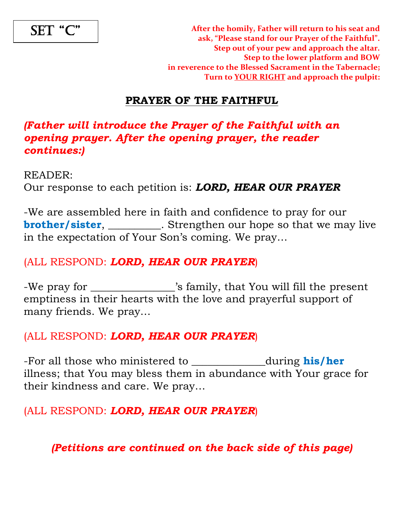

**After the homily, Father will return to his seat and ask, "Please stand for our Prayer of the Faithful". Step out of your pew and approach the altar. Step to the lower platform and BOW in reverence to the Blessed Sacrament in the Tabernacle; Turn to YOUR RIGHT and approach the pulpit:**

#### **PRAYER OF THE FAITHFUL**

#### *(Father will introduce the Prayer of the Faithful with an opening prayer. After the opening prayer, the reader continues:)*

READER:

Our response to each petition is: *LORD, HEAR OUR PRAYER*

-We are assembled here in faith and confidence to pray for our **brother/sister, \_\_\_\_\_\_\_\_\_**. Strengthen our hope so that we may live in the expectation of Your Son's coming. We pray…

#### (ALL RESPOND: *LORD, HEAR OUR PRAYER*)

-We pray for \_\_\_\_\_\_\_\_\_\_\_\_\_\_\_\_'s family, that You will fill the present emptiness in their hearts with the love and prayerful support of many friends. We pray…

#### (ALL RESPOND: *LORD, HEAR OUR PRAYER*)

-For all those who ministered to \_\_\_\_\_\_\_\_\_\_\_\_\_\_during **his/her** illness; that You may bless them in abundance with Your grace for their kindness and care. We pray…

#### (ALL RESPOND: *LORD, HEAR OUR PRAYER*)

*(Petitions are continued on the back side of this page)*